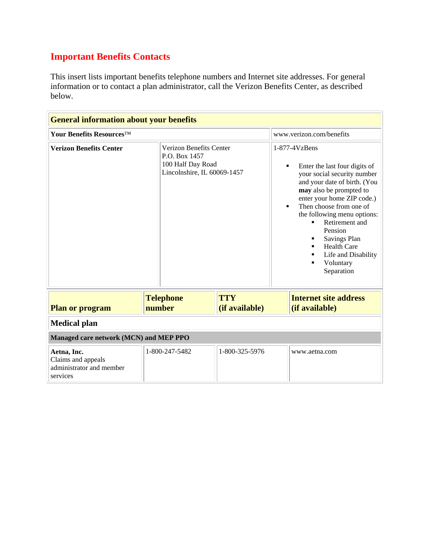## **Important Benefits Contacts**

This insert lists important benefits telephone numbers and Internet site addresses. For general information or to contact a plan administrator, call the Verizon Benefits Center, as described below.

| <b>General information about your benefits</b>                            |                            |                                                                             |  |                                                                                                                                                                                                                                                                                                                                                                               |  |
|---------------------------------------------------------------------------|----------------------------|-----------------------------------------------------------------------------|--|-------------------------------------------------------------------------------------------------------------------------------------------------------------------------------------------------------------------------------------------------------------------------------------------------------------------------------------------------------------------------------|--|
| Your Benefits Resources™                                                  |                            |                                                                             |  | www.verizon.com/benefits                                                                                                                                                                                                                                                                                                                                                      |  |
| <b>Verizon Benefits Center</b>                                            | P.O. Box 1457              | Verizon Benefits Center<br>100 Half Day Road<br>Lincolnshire, IL 60069-1457 |  | $1-877-4VzBens$<br>Enter the last four digits of<br>٠<br>your social security number<br>and your date of birth. (You<br>may also be prompted to<br>enter your home ZIP code.)<br>Then choose from one of<br>the following menu options:<br>Retirement and<br>Pension<br><b>Savings Plan</b><br>٠<br><b>Health Care</b><br>Life and Disability<br>Voluntary<br>٠<br>Separation |  |
| <b>Plan or program</b>                                                    | <b>Telephone</b><br>number | <b>TTY</b><br>(if available)                                                |  | <b>Internet site address</b><br>(if available)                                                                                                                                                                                                                                                                                                                                |  |
| <b>Medical plan</b>                                                       |                            |                                                                             |  |                                                                                                                                                                                                                                                                                                                                                                               |  |
| Managed care network (MCN) and MEP PPO                                    |                            |                                                                             |  |                                                                                                                                                                                                                                                                                                                                                                               |  |
| Aetna, Inc.<br>Claims and appeals<br>administrator and member<br>services | 1-800-247-5482             | 1-800-325-5976                                                              |  | www.aetna.com                                                                                                                                                                                                                                                                                                                                                                 |  |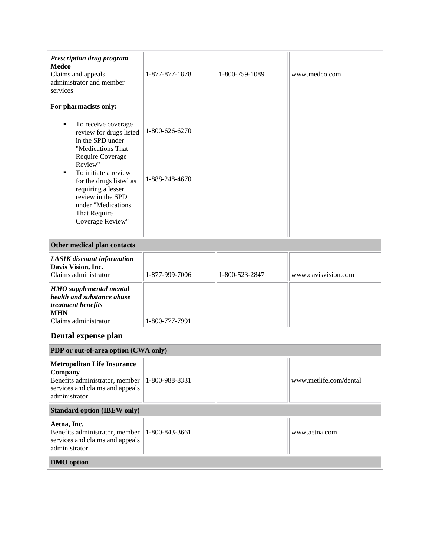| <b>Prescription drug program</b><br>Medco<br>Claims and appeals<br>administrator and member<br>services                                                                                                                                                                                  | 1-877-877-1878                   | 1-800-759-1089 | www.medco.com          |
|------------------------------------------------------------------------------------------------------------------------------------------------------------------------------------------------------------------------------------------------------------------------------------------|----------------------------------|----------------|------------------------|
| For pharmacists only:                                                                                                                                                                                                                                                                    |                                  |                |                        |
| To receive coverage<br>٠<br>review for drugs listed<br>in the SPD under<br>"Medications That<br>Require Coverage<br>Review"<br>To initiate a review<br>п<br>for the drugs listed as<br>requiring a lesser<br>review in the SPD<br>under "Medications<br>That Require<br>Coverage Review" | 1-800-626-6270<br>1-888-248-4670 |                |                        |
| Other medical plan contacts                                                                                                                                                                                                                                                              |                                  |                |                        |
| <b>LASIK</b> discount information                                                                                                                                                                                                                                                        |                                  |                |                        |
| Davis Vision, Inc.<br>Claims administrator                                                                                                                                                                                                                                               | 1-877-999-7006                   | 1-800-523-2847 | www.davisvision.com    |
| <b>HMO</b> supplemental mental<br>health and substance abuse<br>treatment benefits<br><b>MHN</b><br>Claims administrator                                                                                                                                                                 | 1-800-777-7991                   |                |                        |
| Dental expense plan                                                                                                                                                                                                                                                                      |                                  |                |                        |
| PDP or out-of-area option (CWA only)                                                                                                                                                                                                                                                     |                                  |                |                        |
| <b>Metropolitan Life Insurance</b><br>Company<br>Benefits administrator, member<br>services and claims and appeals<br>administrator                                                                                                                                                      | 1-800-988-8331                   |                | www.metlife.com/dental |
| <b>Standard option (IBEW only)</b>                                                                                                                                                                                                                                                       |                                  |                |                        |
| Aetna, Inc.<br>Benefits administrator, member<br>services and claims and appeals<br>administrator                                                                                                                                                                                        | 1-800-843-3661                   |                | www.aetna.com          |
| <b>DMO</b> option                                                                                                                                                                                                                                                                        |                                  |                |                        |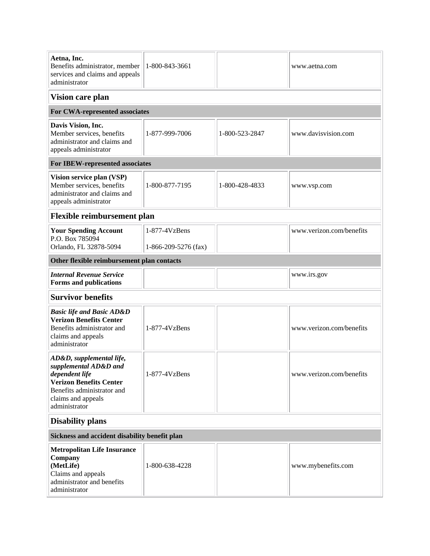| Aetna, Inc.<br>Benefits administrator, member<br>services and claims and appeals<br>administrator                                                                          | 1-800-843-3661                          |                | www.aetna.com            |  |
|----------------------------------------------------------------------------------------------------------------------------------------------------------------------------|-----------------------------------------|----------------|--------------------------|--|
| Vision care plan                                                                                                                                                           |                                         |                |                          |  |
| For CWA-represented associates                                                                                                                                             |                                         |                |                          |  |
| Davis Vision, Inc.<br>Member services, benefits<br>administrator and claims and<br>appeals administrator                                                                   | 1-877-999-7006                          | 1-800-523-2847 | www.davisvision.com      |  |
| For IBEW-represented associates                                                                                                                                            |                                         |                |                          |  |
| Vision service plan (VSP)<br>Member services, benefits<br>administrator and claims and<br>appeals administrator                                                            | 1-800-877-7195                          | 1-800-428-4833 | www.vsp.com              |  |
| <b>Flexible reimbursement plan</b>                                                                                                                                         |                                         |                |                          |  |
| <b>Your Spending Account</b><br>P.O. Box 785094<br>Orlando, FL 32878-5094                                                                                                  | 1-877-4VzBens<br>$1-866-209-5276$ (fax) |                | www.verizon.com/benefits |  |
| Other flexible reimbursement plan contacts                                                                                                                                 |                                         |                |                          |  |
| <b>Internal Revenue Service</b><br>Forms and publications                                                                                                                  |                                         |                | www.irs.gov              |  |
| <b>Survivor benefits</b>                                                                                                                                                   |                                         |                |                          |  |
| <b>Basic life and Basic AD&amp;D</b><br><b>Verizon Benefits Center</b><br>Benefits administrator and<br>claims and appeals<br>administrator                                | $1-877-4VzBens$                         |                | www.verizon.com/benefits |  |
| AD&D, supplemental life,<br>supplemental AD&D and<br>dependent life<br><b>Verizon Benefits Center</b><br>Benefits administrator and<br>claims and appeals<br>administrator | $1-877-4VzBens$                         |                | www.verizon.com/benefits |  |
| <b>Disability plans</b>                                                                                                                                                    |                                         |                |                          |  |
| Sickness and accident disability benefit plan                                                                                                                              |                                         |                |                          |  |
| <b>Metropolitan Life Insurance</b><br>Company<br>(MetLife)<br>Claims and appeals<br>administrator and benefits<br>administrator                                            | 1-800-638-4228                          |                | www.mybenefits.com       |  |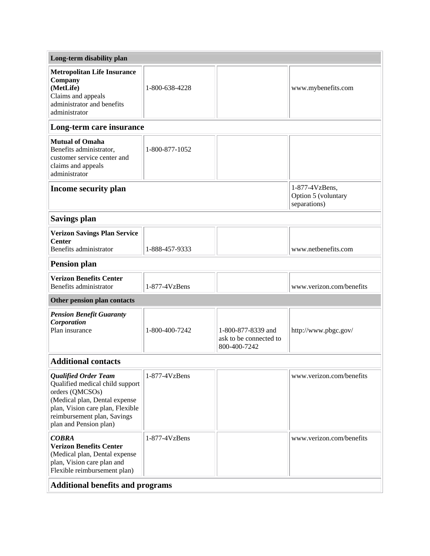| Long-term disability plan                                                                                                                                                                                       |                 |                                                              |                                                       |
|-----------------------------------------------------------------------------------------------------------------------------------------------------------------------------------------------------------------|-----------------|--------------------------------------------------------------|-------------------------------------------------------|
| <b>Metropolitan Life Insurance</b><br>Company<br>(MetLife)<br>Claims and appeals<br>administrator and benefits<br>administrator                                                                                 | 1-800-638-4228  |                                                              | www.mybenefits.com                                    |
| Long-term care insurance                                                                                                                                                                                        |                 |                                                              |                                                       |
| <b>Mutual of Omaha</b><br>Benefits administrator,<br>customer service center and<br>claims and appeals<br>administrator                                                                                         | 1-800-877-1052  |                                                              |                                                       |
| <b>Income security plan</b>                                                                                                                                                                                     |                 |                                                              | 1-877-4VzBens,<br>Option 5 (voluntary<br>separations) |
| <b>Savings plan</b>                                                                                                                                                                                             |                 |                                                              |                                                       |
| <b>Verizon Savings Plan Service</b><br><b>Center</b><br>Benefits administrator                                                                                                                                  | 1-888-457-9333  |                                                              | www.netbenefits.com                                   |
| <b>Pension plan</b>                                                                                                                                                                                             |                 |                                                              |                                                       |
| <b>Verizon Benefits Center</b><br>Benefits administrator                                                                                                                                                        | 1-877-4VzBens   |                                                              | www.verizon.com/benefits                              |
| Other pension plan contacts                                                                                                                                                                                     |                 |                                                              |                                                       |
| <b>Pension Benefit Guaranty</b><br>Corporation<br>Plan insurance                                                                                                                                                | 1-800-400-7242  | 1-800-877-8339 and<br>ask to be connected to<br>800-400-7242 | http://www.pbgc.gov/                                  |
| <b>Additional contacts</b>                                                                                                                                                                                      |                 |                                                              |                                                       |
| <b>Qualified Order Team</b><br>Qualified medical child support<br>orders (QMCSOs)<br>(Medical plan, Dental expense<br>plan, Vision care plan, Flexible<br>reimbursement plan, Savings<br>plan and Pension plan) | $1-877-4VzBens$ |                                                              | www.verizon.com/benefits                              |
| <b>COBRA</b><br><b>Verizon Benefits Center</b><br>(Medical plan, Dental expense<br>plan, Vision care plan and<br>Flexible reimbursement plan)                                                                   | 1-877-4VzBens   |                                                              | www.verizon.com/benefits                              |
| <b>Additional benefits and programs</b>                                                                                                                                                                         |                 |                                                              |                                                       |